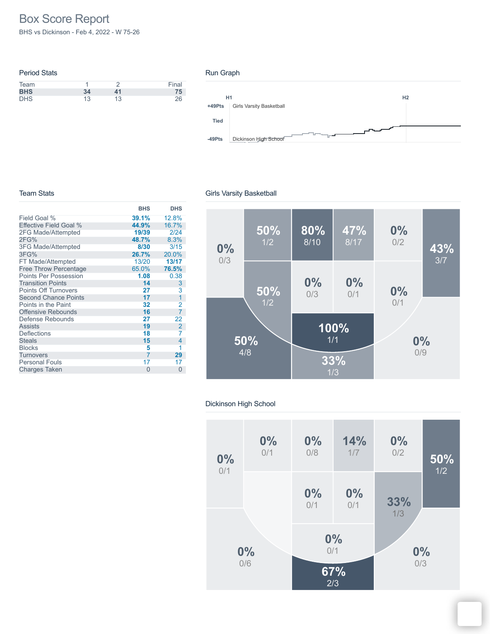# Box Score Report

BHS vs Dickinson - Feb 4, 2022 - W 75-26

| <b>Period Stats</b> |    |    |       |
|---------------------|----|----|-------|
| Team                |    |    | Final |
| <b>BHS</b>          | 34 | 41 | 75    |
| <b>DHS</b>          | 13 | 13 | 26    |

#### Run Graph



#### Team Stats

|                               | <b>BHS</b>     | <b>DHS</b>     |
|-------------------------------|----------------|----------------|
| Field Goal %                  | 39.1%          | 12.8%          |
| <b>Effective Field Goal %</b> | 44.9%          | 16.7%          |
| 2FG Made/Attempted            | 19/39          | 2/24           |
| 2FG%                          | 48.7%          | 8.3%           |
| 3FG Made/Attempted            | 8/30           | 3/15           |
| 3FG%                          | 26.7%          | 20.0%          |
| FT Made/Attempted             | 13/20          | 13/17          |
| <b>Free Throw Percentage</b>  | 65.0%          | 76.5%          |
| <b>Points Per Possession</b>  | 1.08           | 0.38           |
| <b>Transition Points</b>      | 14             | 3              |
| <b>Points Off Turnovers</b>   | 27             | 3              |
| <b>Second Chance Points</b>   | 17             | 1              |
| Points in the Paint           | 32             | 2              |
| <b>Offensive Rebounds</b>     | 16             | $\overline{7}$ |
| Defense Rebounds              | 27             | 22             |
| <b>Assists</b>                | 19             | $\overline{2}$ |
| <b>Deflections</b>            | 18             | 7              |
| <b>Steals</b>                 | 15             | 4              |
| <b>Blocks</b>                 | 5              | 1              |
| <b>Turnovers</b>              | $\overline{7}$ | 29             |
| <b>Personal Fouls</b>         | 17             | 17             |
| <b>Charges Taken</b>          | 0              | $\Omega$       |

### Girls Varsity Basketball



### Dickinson High School